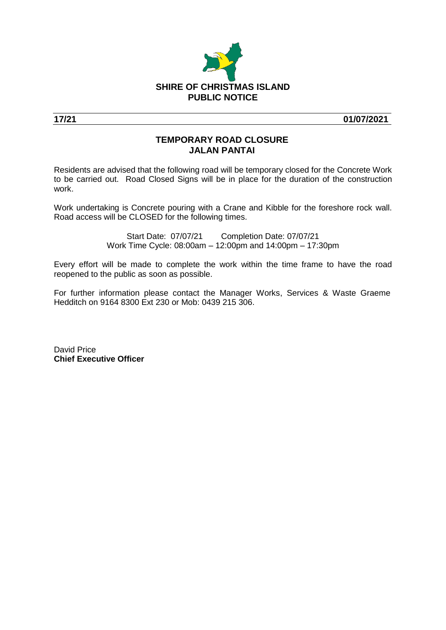

**17/21 01/07/2021**

## **TEMPORARY ROAD CLOSURE JALAN PANTAI**

Residents are advised that the following road will be temporary closed for the Concrete Work to be carried out. Road Closed Signs will be in place for the duration of the construction work.

Work undertaking is Concrete pouring with a Crane and Kibble for the foreshore rock wall. Road access will be CLOSED for the following times.

> Start Date: 07/07/21 Completion Date: 07/07/21 Work Time Cycle: 08:00am – 12:00pm and 14:00pm – 17:30pm

Every effort will be made to complete the work within the time frame to have the road reopened to the public as soon as possible.

For further information please contact the Manager Works, Services & Waste Graeme Hedditch on 9164 8300 Ext 230 or Mob: 0439 215 306.

David Price **Chief Executive Officer**